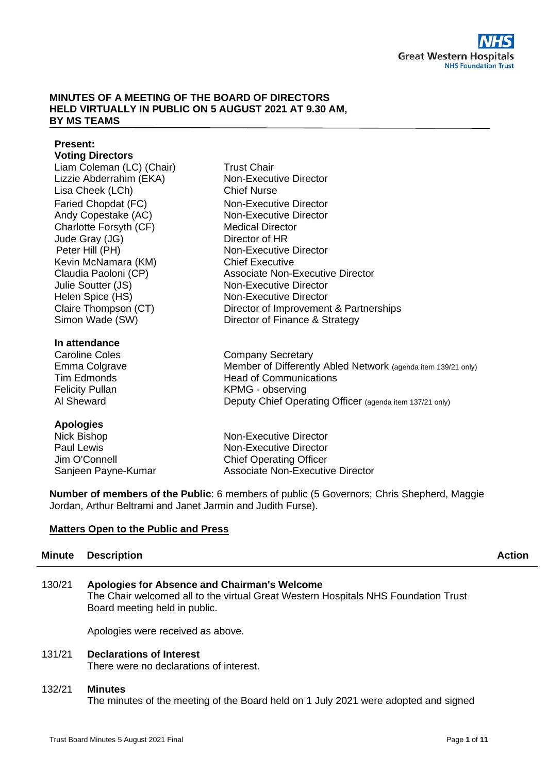### **MINUTES OF A MEETING OF THE BOARD OF DIRECTORS HELD VIRTUALLY IN PUBLIC ON 5 AUGUST 2021 AT 9.30 AM, BY MS TEAMS**

#### **Present: Voting Directors**

| TVUHY PHUVUJU             |                                                               |
|---------------------------|---------------------------------------------------------------|
| Liam Coleman (LC) (Chair) | <b>Trust Chair</b>                                            |
| Lizzie Abderrahim (EKA)   | <b>Non-Executive Director</b>                                 |
| Lisa Cheek (LCh)          | <b>Chief Nurse</b>                                            |
| Faried Chopdat (FC)       | Non-Executive Director                                        |
| Andy Copestake (AC)       | Non-Executive Director                                        |
| Charlotte Forsyth (CF)    | <b>Medical Director</b>                                       |
| Jude Gray (JG)            | Director of HR                                                |
| Peter Hill (PH)           | Non-Executive Director                                        |
| Kevin McNamara (KM)       | <b>Chief Executive</b>                                        |
| Claudia Paoloni (CP)      | <b>Associate Non-Executive Director</b>                       |
| Julie Soutter (JS)        | Non-Executive Director                                        |
| Helen Spice (HS)          | Non-Executive Director                                        |
| Claire Thompson (CT)      | Director of Improvement & Partnerships                        |
| Simon Wade (SW)           | Director of Finance & Strategy                                |
| In attendance             |                                                               |
| <b>Caroline Coles</b>     | <b>Company Secretary</b>                                      |
| Emma Colgrave             | Member of Differently Abled Network (agenda item 139/21 only) |
| <b>Tim Edmonds</b>        | <b>Head of Communications</b>                                 |
| <b>Felicity Pullan</b>    | KPMG - observing                                              |
| Al Sheward                | Deputy Chief Operating Officer (agenda item 137/21 only)      |
|                           |                                                               |

## **Apologies**

Nick Bishop Paul Lewis Jim O'Connell Sanjeen Payne-Kumar Non-Executive Director Non-Executive Director Chief Operating Officer Associate Non-Executive Director

**Number of members of the Public**: 6 members of public (5 Governors; Chris Shepherd, Maggie Jordan, Arthur Beltrami and Janet Jarmin and Judith Furse).

## **Matters Open to the Public and Press**

# **Minute Description Action Action Action Action Action Action Action**

## 130/21 **Apologies for Absence and Chairman's Welcome**

The Chair welcomed all to the virtual Great Western Hospitals NHS Foundation Trust Board meeting held in public.

Apologies were received as above.

## 131/21 **Declarations of Interest**

There were no declarations of interest.

## 132/21 **Minutes**

The minutes of the meeting of the Board held on 1 July 2021 were adopted and signed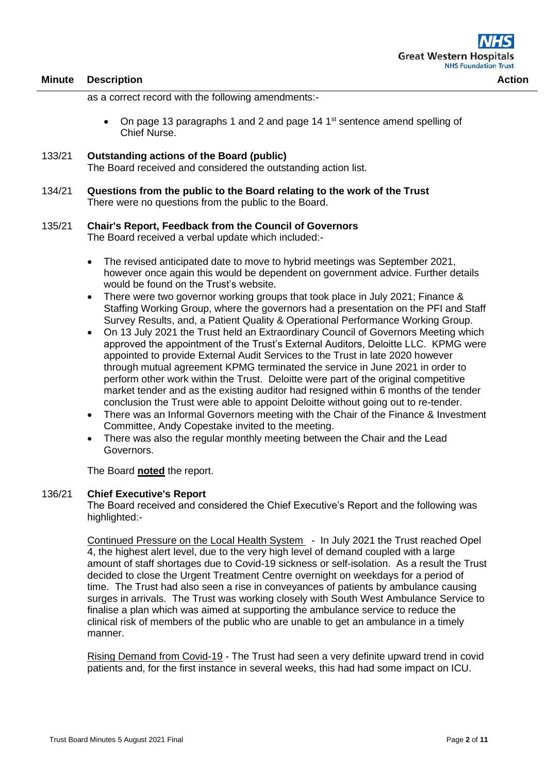as a correct record with the following amendments:-

- On page 13 paragraphs 1 and 2 and page 14  $1<sup>st</sup>$  sentence amend spelling of Chief Nurse.
- 133/21 **Outstanding actions of the Board (public)**  The Board received and considered the outstanding action list.
- 134/21 **Questions from the public to the Board relating to the work of the Trust** There were no questions from the public to the Board.

### 135/21 **Chair's Report, Feedback from the Council of Governors**

The Board received a verbal update which included:-

- The revised anticipated date to move to hybrid meetings was September 2021, however once again this would be dependent on government advice. Further details would be found on the Trust's website.
- There were two governor working groups that took place in July 2021; Finance & Staffing Working Group, where the governors had a presentation on the PFI and Staff Survey Results, and, a Patient Quality & Operational Performance Working Group.
- On 13 July 2021 the Trust held an Extraordinary Council of Governors Meeting which approved the appointment of the Trust's External Auditors, Deloitte LLC. KPMG were appointed to provide External Audit Services to the Trust in late 2020 however through mutual agreement KPMG terminated the service in June 2021 in order to perform other work within the Trust. Deloitte were part of the original competitive market tender and as the existing auditor had resigned within 6 months of the tender conclusion the Trust were able to appoint Deloitte without going out to re-tender.
- There was an Informal Governors meeting with the Chair of the Finance & Investment Committee, Andy Copestake invited to the meeting.
- There was also the regular monthly meeting between the Chair and the Lead Governors.

The Board **noted** the report.

#### 136/21 **Chief Executive's Report**

The Board received and considered the Chief Executive's Report and the following was highlighted:-

Continued Pressure on the Local Health System - In July 2021 the Trust reached Opel 4, the highest alert level, due to the very high level of demand coupled with a large amount of staff shortages due to Covid-19 sickness or self-isolation. As a result the Trust decided to close the Urgent Treatment Centre overnight on weekdays for a period of time. The Trust had also seen a rise in conveyances of patients by ambulance causing surges in arrivals. The Trust was working closely with South West Ambulance Service to finalise a plan which was aimed at supporting the ambulance service to reduce the clinical risk of members of the public who are unable to get an ambulance in a timely manner.

Rising Demand from Covid-19 - The Trust had seen a very definite upward trend in covid patients and, for the first instance in several weeks, this had had some impact on ICU.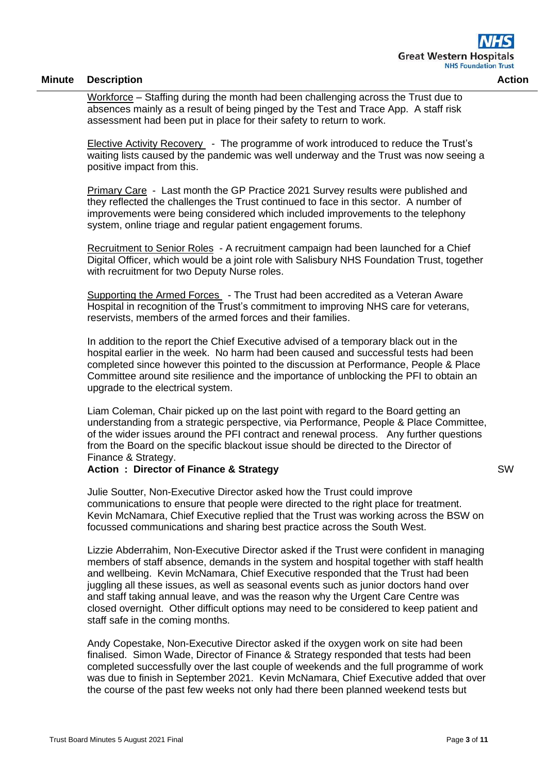Workforce – Staffing during the month had been challenging across the Trust due to absences mainly as a result of being pinged by the Test and Trace App. A staff risk assessment had been put in place for their safety to return to work.

Elective Activity Recovery - The programme of work introduced to reduce the Trust's waiting lists caused by the pandemic was well underway and the Trust was now seeing a positive impact from this.

Primary Care - Last month the GP Practice 2021 Survey results were published and they reflected the challenges the Trust continued to face in this sector. A number of improvements were being considered which included improvements to the telephony system, online triage and regular patient engagement forums.

Recruitment to Senior Roles - A recruitment campaign had been launched for a Chief Digital Officer, which would be a joint role with Salisbury NHS Foundation Trust, together with recruitment for two Deputy Nurse roles.

Supporting the Armed Forces - The Trust had been accredited as a Veteran Aware Hospital in recognition of the Trust's commitment to improving NHS care for veterans, reservists, members of the armed forces and their families.

In addition to the report the Chief Executive advised of a temporary black out in the hospital earlier in the week. No harm had been caused and successful tests had been completed since however this pointed to the discussion at Performance, People & Place Committee around site resilience and the importance of unblocking the PFI to obtain an upgrade to the electrical system.

Liam Coleman, Chair picked up on the last point with regard to the Board getting an understanding from a strategic perspective, via Performance, People & Place Committee, of the wider issues around the PFI contract and renewal process. Any further questions from the Board on the specific blackout issue should be directed to the Director of Finance & Strategy.

### **Action : Director of Finance & Strategy**

Julie Soutter, Non-Executive Director asked how the Trust could improve communications to ensure that people were directed to the right place for treatment. Kevin McNamara, Chief Executive replied that the Trust was working across the BSW on focussed communications and sharing best practice across the South West.

Lizzie Abderrahim, Non-Executive Director asked if the Trust were confident in managing members of staff absence, demands in the system and hospital together with staff health and wellbeing. Kevin McNamara, Chief Executive responded that the Trust had been juggling all these issues, as well as seasonal events such as junior doctors hand over and staff taking annual leave, and was the reason why the Urgent Care Centre was closed overnight. Other difficult options may need to be considered to keep patient and staff safe in the coming months.

Andy Copestake, Non-Executive Director asked if the oxygen work on site had been finalised. Simon Wade, Director of Finance & Strategy responded that tests had been completed successfully over the last couple of weekends and the full programme of work was due to finish in September 2021. Kevin McNamara, Chief Executive added that over the course of the past few weeks not only had there been planned weekend tests but

SW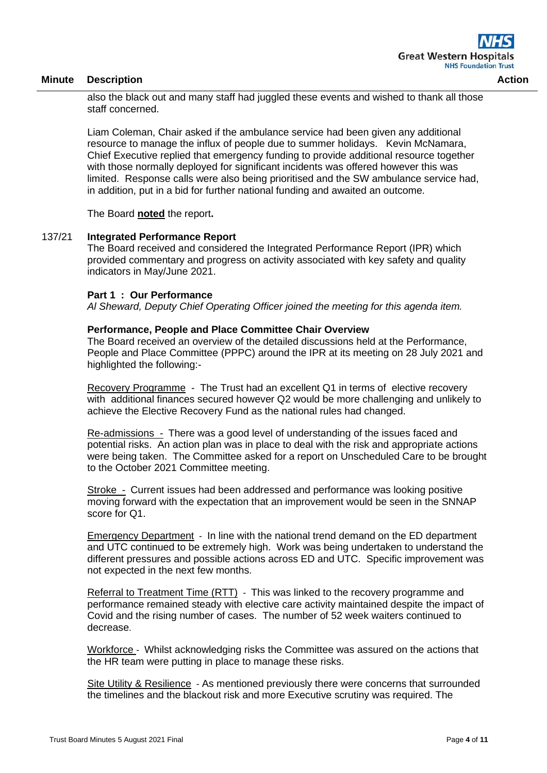also the black out and many staff had juggled these events and wished to thank all those staff concerned.

Liam Coleman, Chair asked if the ambulance service had been given any additional resource to manage the influx of people due to summer holidays. Kevin McNamara, Chief Executive replied that emergency funding to provide additional resource together with those normally deployed for significant incidents was offered however this was limited. Response calls were also being prioritised and the SW ambulance service had, in addition, put in a bid for further national funding and awaited an outcome.

The Board **noted** the report**.**

## 137/21 **Integrated Performance Report**

The Board received and considered the Integrated Performance Report (IPR) which provided commentary and progress on activity associated with key safety and quality indicators in May/June 2021.

#### **Part 1 : Our Performance**

*Al Sheward, Deputy Chief Operating Officer joined the meeting for this agenda item.*

### **Performance, People and Place Committee Chair Overview**

The Board received an overview of the detailed discussions held at the Performance, People and Place Committee (PPPC) around the IPR at its meeting on 28 July 2021 and highlighted the following:-

Recovery Programme - The Trust had an excellent Q1 in terms of elective recovery with additional finances secured however Q2 would be more challenging and unlikely to achieve the Elective Recovery Fund as the national rules had changed.

Re-admissions - There was a good level of understanding of the issues faced and potential risks. An action plan was in place to deal with the risk and appropriate actions were being taken. The Committee asked for a report on Unscheduled Care to be brought to the October 2021 Committee meeting.

Stroke - Current issues had been addressed and performance was looking positive moving forward with the expectation that an improvement would be seen in the SNNAP score for Q1.

Emergency Department - In line with the national trend demand on the ED department and UTC continued to be extremely high. Work was being undertaken to understand the different pressures and possible actions across ED and UTC. Specific improvement was not expected in the next few months.

Referral to Treatment Time (RTT) - This was linked to the recovery programme and performance remained steady with elective care activity maintained despite the impact of Covid and the rising number of cases. The number of 52 week waiters continued to decrease.

Workforce - Whilst acknowledging risks the Committee was assured on the actions that the HR team were putting in place to manage these risks.

Site Utility & Resilience - As mentioned previously there were concerns that surrounded the timelines and the blackout risk and more Executive scrutiny was required. The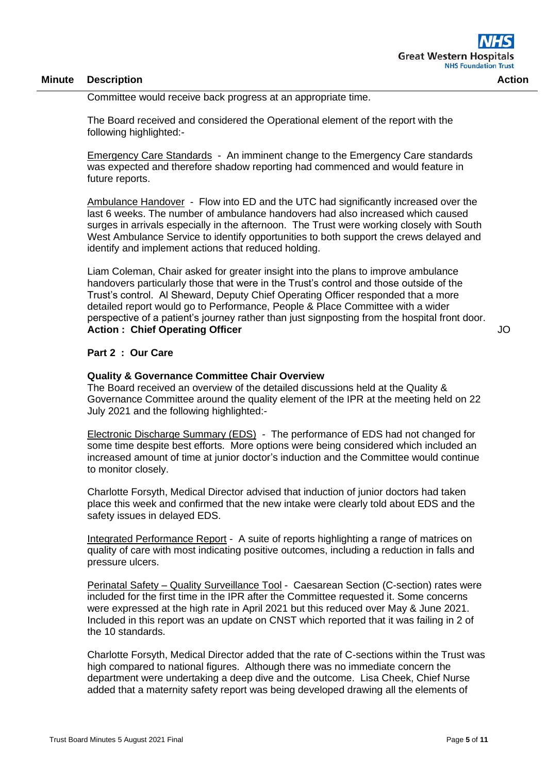Committee would receive back progress at an appropriate time.

The Board received and considered the Operational element of the report with the following highlighted:-

Emergency Care Standards - An imminent change to the Emergency Care standards was expected and therefore shadow reporting had commenced and would feature in future reports.

Ambulance Handover - Flow into ED and the UTC had significantly increased over the last 6 weeks. The number of ambulance handovers had also increased which caused surges in arrivals especially in the afternoon. The Trust were working closely with South West Ambulance Service to identify opportunities to both support the crews delayed and identify and implement actions that reduced holding.

Liam Coleman, Chair asked for greater insight into the plans to improve ambulance handovers particularly those that were in the Trust's control and those outside of the Trust's control. Al Sheward, Deputy Chief Operating Officer responded that a more detailed report would go to Performance, People & Place Committee with a wider perspective of a patient's journey rather than just signposting from the hospital front door. **Action : Chief Operating Officer**

JO

#### **Part 2 : Our Care**

#### **Quality & Governance Committee Chair Overview**

The Board received an overview of the detailed discussions held at the Quality & Governance Committee around the quality element of the IPR at the meeting held on 22 July 2021 and the following highlighted:-

Electronic Discharge Summary (EDS) - The performance of EDS had not changed for some time despite best efforts. More options were being considered which included an increased amount of time at junior doctor's induction and the Committee would continue to monitor closely.

Charlotte Forsyth, Medical Director advised that induction of junior doctors had taken place this week and confirmed that the new intake were clearly told about EDS and the safety issues in delayed EDS.

Integrated Performance Report - A suite of reports highlighting a range of matrices on quality of care with most indicating positive outcomes, including a reduction in falls and pressure ulcers.

Perinatal Safety – Quality Surveillance Tool - Caesarean Section (C-section) rates were included for the first time in the IPR after the Committee requested it. Some concerns were expressed at the high rate in April 2021 but this reduced over May & June 2021. Included in this report was an update on CNST which reported that it was failing in 2 of the 10 standards.

Charlotte Forsyth, Medical Director added that the rate of C-sections within the Trust was high compared to national figures. Although there was no immediate concern the department were undertaking a deep dive and the outcome. Lisa Cheek, Chief Nurse added that a maternity safety report was being developed drawing all the elements of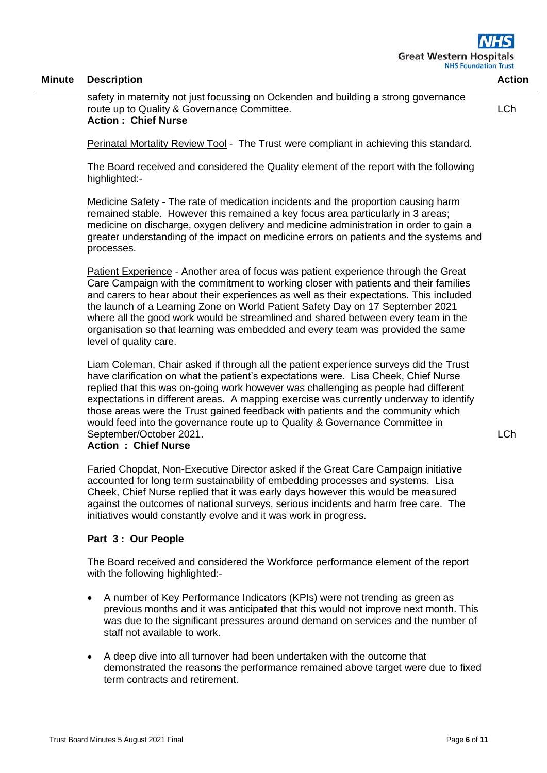safety in maternity not just focussing on Ockenden and building a strong governance route up to Quality & Governance Committee. **Action : Chief Nurse**

LCh

Perinatal Mortality Review Tool - The Trust were compliant in achieving this standard.

The Board received and considered the Quality element of the report with the following highlighted:-

Medicine Safety - The rate of medication incidents and the proportion causing harm remained stable. However this remained a key focus area particularly in 3 areas; medicine on discharge, oxygen delivery and medicine administration in order to gain a greater understanding of the impact on medicine errors on patients and the systems and processes.

Patient Experience - Another area of focus was patient experience through the Great Care Campaign with the commitment to working closer with patients and their families and carers to hear about their experiences as well as their expectations. This included the launch of a Learning Zone on World Patient Safety Day on 17 September 2021 where all the good work would be streamlined and shared between every team in the organisation so that learning was embedded and every team was provided the same level of quality care.

Liam Coleman, Chair asked if through all the patient experience surveys did the Trust have clarification on what the patient's expectations were. Lisa Cheek, Chief Nurse replied that this was on-going work however was challenging as people had different expectations in different areas. A mapping exercise was currently underway to identify those areas were the Trust gained feedback with patients and the community which would feed into the governance route up to Quality & Governance Committee in September/October 2021.

### **Action : Chief Nurse**

Faried Chopdat, Non-Executive Director asked if the Great Care Campaign initiative accounted for long term sustainability of embedding processes and systems. Lisa Cheek, Chief Nurse replied that it was early days however this would be measured against the outcomes of national surveys, serious incidents and harm free care. The initiatives would constantly evolve and it was work in progress.

#### **Part 3 : Our People**

The Board received and considered the Workforce performance element of the report with the following highlighted:-

- A number of Key Performance Indicators (KPIs) were not trending as green as previous months and it was anticipated that this would not improve next month. This was due to the significant pressures around demand on services and the number of staff not available to work.
- A deep dive into all turnover had been undertaken with the outcome that demonstrated the reasons the performance remained above target were due to fixed term contracts and retirement.

LCh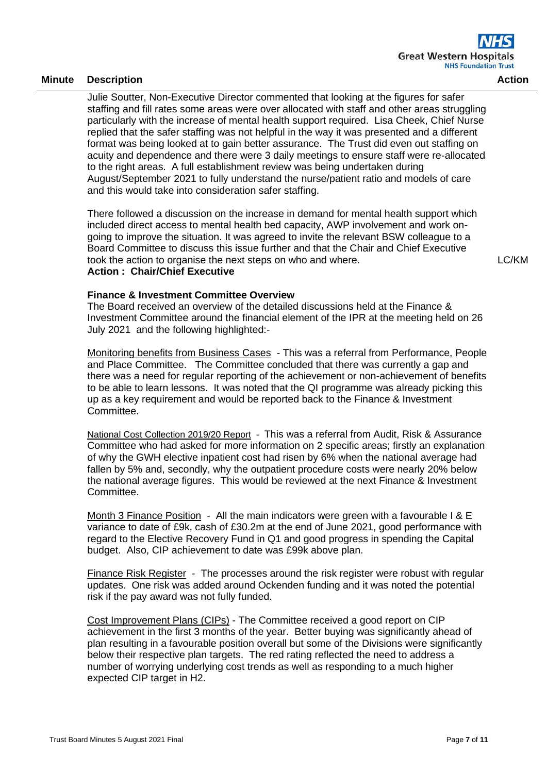Julie Soutter, Non-Executive Director commented that looking at the figures for safer staffing and fill rates some areas were over allocated with staff and other areas struggling particularly with the increase of mental health support required. Lisa Cheek, Chief Nurse replied that the safer staffing was not helpful in the way it was presented and a different format was being looked at to gain better assurance. The Trust did even out staffing on acuity and dependence and there were 3 daily meetings to ensure staff were re-allocated to the right areas. A full establishment review was being undertaken during August/September 2021 to fully understand the nurse/patient ratio and models of care and this would take into consideration safer staffing.

There followed a discussion on the increase in demand for mental health support which included direct access to mental health bed capacity, AWP involvement and work ongoing to improve the situation. It was agreed to invite the relevant BSW colleague to a Board Committee to discuss this issue further and that the Chair and Chief Executive took the action to organise the next steps on who and where. **Action : Chair/Chief Executive**

LC/KM

### **Finance & Investment Committee Overview**

The Board received an overview of the detailed discussions held at the Finance & Investment Committee around the financial element of the IPR at the meeting held on 26 July 2021 and the following highlighted:-

Monitoring benefits from Business Cases - This was a referral from Performance, People and Place Committee. The Committee concluded that there was currently a gap and there was a need for regular reporting of the achievement or non-achievement of benefits to be able to learn lessons. It was noted that the QI programme was already picking this up as a key requirement and would be reported back to the Finance & Investment Committee.

National Cost Collection 2019/20 Report - This was a referral from Audit, Risk & Assurance Committee who had asked for more information on 2 specific areas; firstly an explanation of why the GWH elective inpatient cost had risen by 6% when the national average had fallen by 5% and, secondly, why the outpatient procedure costs were nearly 20% below the national average figures. This would be reviewed at the next Finance & Investment Committee.

Month 3 Finance Position - All the main indicators were green with a favourable I & E variance to date of £9k, cash of £30.2m at the end of June 2021, good performance with regard to the Elective Recovery Fund in Q1 and good progress in spending the Capital budget. Also, CIP achievement to date was £99k above plan.

Finance Risk Register - The processes around the risk register were robust with regular updates. One risk was added around Ockenden funding and it was noted the potential risk if the pay award was not fully funded.

Cost Improvement Plans (CIPs) - The Committee received a good report on CIP achievement in the first 3 months of the year. Better buying was significantly ahead of plan resulting in a favourable position overall but some of the Divisions were significantly below their respective plan targets. The red rating reflected the need to address a number of worrying underlying cost trends as well as responding to a much higher expected CIP target in H2.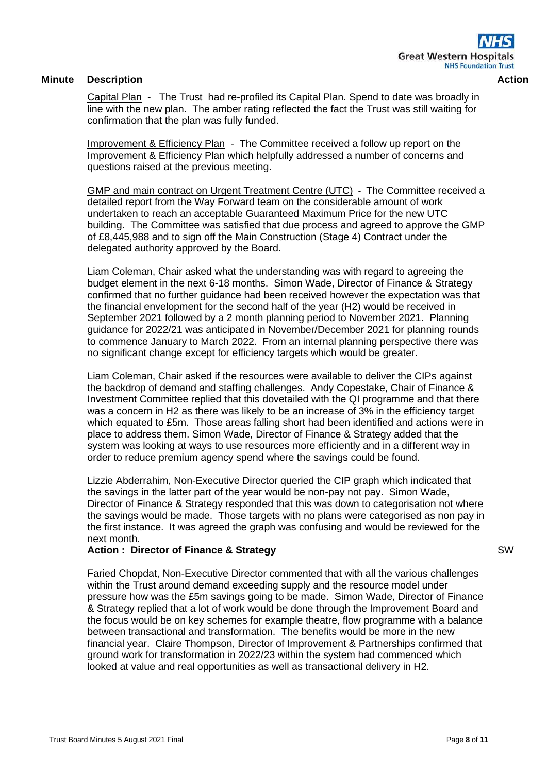Capital Plan - The Trust had re-profiled its Capital Plan. Spend to date was broadly in line with the new plan. The amber rating reflected the fact the Trust was still waiting for confirmation that the plan was fully funded.

Improvement & Efficiency Plan - The Committee received a follow up report on the Improvement & Efficiency Plan which helpfully addressed a number of concerns and questions raised at the previous meeting.

GMP and main contract on Urgent Treatment Centre (UTC) - The Committee received a detailed report from the Way Forward team on the considerable amount of work undertaken to reach an acceptable Guaranteed Maximum Price for the new UTC building. The Committee was satisfied that due process and agreed to approve the GMP of £8,445,988 and to sign off the Main Construction (Stage 4) Contract under the delegated authority approved by the Board.

Liam Coleman, Chair asked what the understanding was with regard to agreeing the budget element in the next 6-18 months. Simon Wade, Director of Finance & Strategy confirmed that no further guidance had been received however the expectation was that the financial envelopment for the second half of the year (H2) would be received in September 2021 followed by a 2 month planning period to November 2021. Planning guidance for 2022/21 was anticipated in November/December 2021 for planning rounds to commence January to March 2022. From an internal planning perspective there was no significant change except for efficiency targets which would be greater.

Liam Coleman, Chair asked if the resources were available to deliver the CIPs against the backdrop of demand and staffing challenges. Andy Copestake, Chair of Finance & Investment Committee replied that this dovetailed with the QI programme and that there was a concern in H2 as there was likely to be an increase of 3% in the efficiency target which equated to £5m. Those areas falling short had been identified and actions were in place to address them. Simon Wade, Director of Finance & Strategy added that the system was looking at ways to use resources more efficiently and in a different way in order to reduce premium agency spend where the savings could be found.

Lizzie Abderrahim, Non-Executive Director queried the CIP graph which indicated that the savings in the latter part of the year would be non-pay not pay. Simon Wade, Director of Finance & Strategy responded that this was down to categorisation not where the savings would be made. Those targets with no plans were categorised as non pay in the first instance. It was agreed the graph was confusing and would be reviewed for the next month.

## **Action : Director of Finance & Strategy**

Faried Chopdat, Non-Executive Director commented that with all the various challenges within the Trust around demand exceeding supply and the resource model under pressure how was the £5m savings going to be made. Simon Wade, Director of Finance & Strategy replied that a lot of work would be done through the Improvement Board and the focus would be on key schemes for example theatre, flow programme with a balance between transactional and transformation. The benefits would be more in the new financial year. Claire Thompson, Director of Improvement & Partnerships confirmed that ground work for transformation in 2022/23 within the system had commenced which looked at value and real opportunities as well as transactional delivery in H2.

SW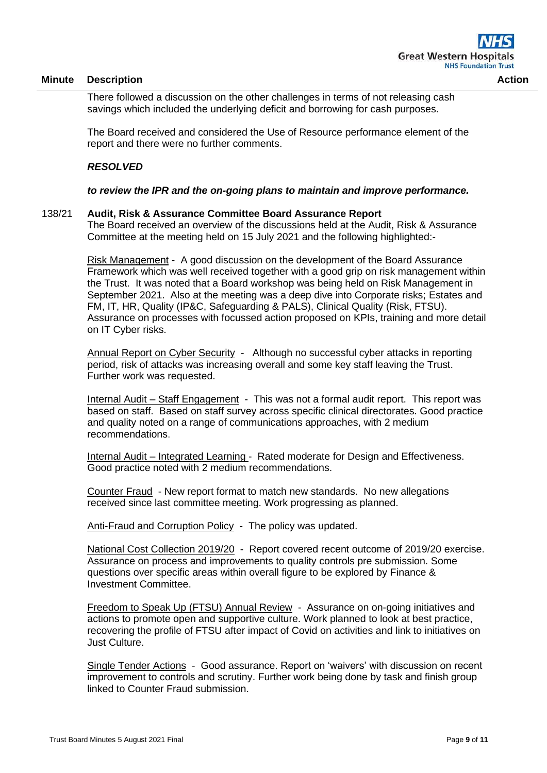There followed a discussion on the other challenges in terms of not releasing cash savings which included the underlying deficit and borrowing for cash purposes.

The Board received and considered the Use of Resource performance element of the report and there were no further comments.

## *RESOLVED*

### *to review the IPR and the on-going plans to maintain and improve performance.*

#### 138/21 **Audit, Risk & Assurance Committee Board Assurance Report**

The Board received an overview of the discussions held at the Audit, Risk & Assurance Committee at the meeting held on 15 July 2021 and the following highlighted:-

Risk Management - A good discussion on the development of the Board Assurance Framework which was well received together with a good grip on risk management within the Trust. It was noted that a Board workshop was being held on Risk Management in September 2021. Also at the meeting was a deep dive into Corporate risks; Estates and FM, IT, HR, Quality (IP&C, Safeguarding & PALS), Clinical Quality (Risk, FTSU). Assurance on processes with focussed action proposed on KPIs, training and more detail on IT Cyber risks.

Annual Report on Cyber Security - Although no successful cyber attacks in reporting period, risk of attacks was increasing overall and some key staff leaving the Trust. Further work was requested.

Internal Audit – Staff Engagement - This was not a formal audit report. This report was based on staff. Based on staff survey across specific clinical directorates. Good practice and quality noted on a range of communications approaches, with 2 medium recommendations.

Internal Audit – Integrated Learning - Rated moderate for Design and Effectiveness. Good practice noted with 2 medium recommendations.

Counter Fraud - New report format to match new standards. No new allegations received since last committee meeting. Work progressing as planned.

Anti-Fraud and Corruption Policy - The policy was updated.

National Cost Collection 2019/20 - Report covered recent outcome of 2019/20 exercise. Assurance on process and improvements to quality controls pre submission. Some questions over specific areas within overall figure to be explored by Finance & Investment Committee.

Freedom to Speak Up (FTSU) Annual Review - Assurance on on-going initiatives and actions to promote open and supportive culture. Work planned to look at best practice, recovering the profile of FTSU after impact of Covid on activities and link to initiatives on Just Culture.

Single Tender Actions - Good assurance. Report on 'waivers' with discussion on recent improvement to controls and scrutiny. Further work being done by task and finish group linked to Counter Fraud submission.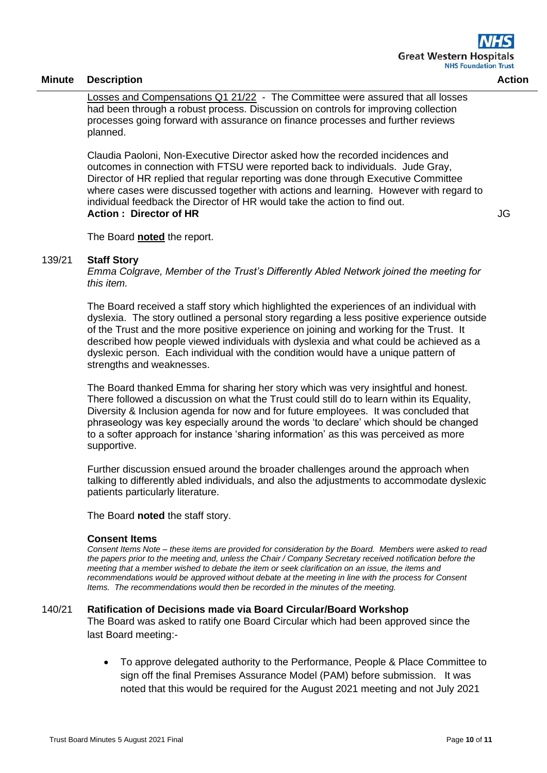Losses and Compensations Q1 21/22 - The Committee were assured that all losses had been through a robust process. Discussion on controls for improving collection processes going forward with assurance on finance processes and further reviews planned.

Claudia Paoloni, Non-Executive Director asked how the recorded incidences and outcomes in connection with FTSU were reported back to individuals. Jude Gray, Director of HR replied that regular reporting was done through Executive Committee where cases were discussed together with actions and learning. However with regard to individual feedback the Director of HR would take the action to find out. **Action : Director of HR**

JG

The Board **noted** the report.

### 139/21 **Staff Story**

*Emma Colgrave, Member of the Trust's Differently Abled Network joined the meeting for this item.*

The Board received a staff story which highlighted the experiences of an individual with dyslexia. The story outlined a personal story regarding a less positive experience outside of the Trust and the more positive experience on joining and working for the Trust. It described how people viewed individuals with dyslexia and what could be achieved as a dyslexic person. Each individual with the condition would have a unique pattern of strengths and weaknesses.

The Board thanked Emma for sharing her story which was very insightful and honest. There followed a discussion on what the Trust could still do to learn within its Equality, Diversity & Inclusion agenda for now and for future employees. It was concluded that phraseology was key especially around the words 'to declare' which should be changed to a softer approach for instance 'sharing information' as this was perceived as more supportive.

Further discussion ensued around the broader challenges around the approach when talking to differently abled individuals, and also the adjustments to accommodate dyslexic patients particularly literature.

The Board **noted** the staff story.

#### **Consent Items**

*Consent Items Note – these items are provided for consideration by the Board. Members were asked to read the papers prior to the meeting and, unless the Chair / Company Secretary received notification before the meeting that a member wished to debate the item or seek clarification on an issue, the items and recommendations would be approved without debate at the meeting in line with the process for Consent Items. The recommendations would then be recorded in the minutes of the meeting.*

#### 140/21 **Ratification of Decisions made via Board Circular/Board Workshop**

The Board was asked to ratify one Board Circular which had been approved since the last Board meeting:-

• To approve delegated authority to the Performance, People & Place Committee to sign off the final Premises Assurance Model (PAM) before submission. It was noted that this would be required for the August 2021 meeting and not July 2021